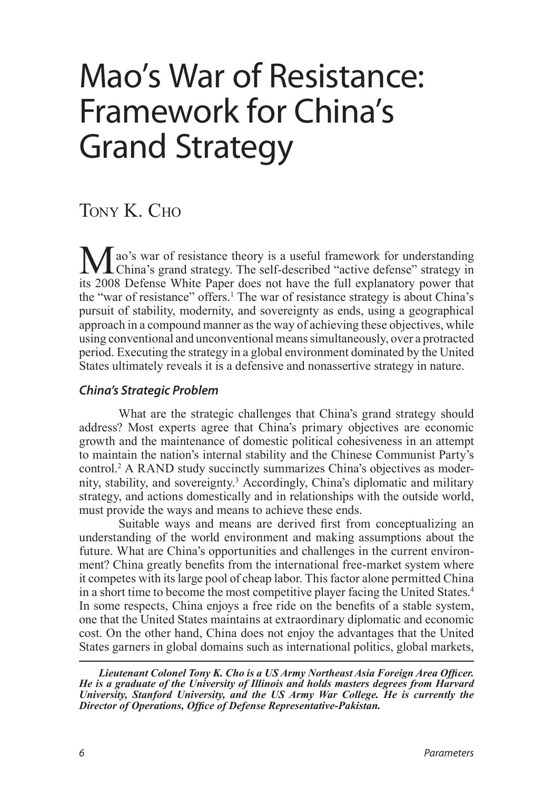# Mao's War of Resistance: Framework for China's Grand Strategy

# TONY K. CHO

<span id="page-0-0"></span>Mao's war of resistance theory is a useful framework for understanding<br>China's grand strategy. The self-described "active defense" strategy in<br>its 2008 Defense White Bapar does not have the full evalents we never that its 2008 Defense White Paper does not have the full explanatory power that the "war of resistance" offers.<sup>[1](#page-9-0)</sup> The war of resistance strategy is about China's pursuit of stability, modernity, and sovereignty as ends, using a geographical approach in a compound manner as the way of achieving these objectives, while using conventional and unconventional means simultaneously, over a protracted period. Executing the strategy in a global environment dominated by the United States ultimately reveals it is a defensive and nonassertive strategy in nature.

# *China's Strategic Problem*

<span id="page-0-1"></span>What are the strategic challenges that China's grand strategy should address? Most experts agree that China's primary objectives are economic growth and the maintenance of domestic political cohesiveness in an attempt to maintain the nation's internal stability and the Chinese Communist Party's control[.2](#page-9-1) A RAND study succinctly summarizes China's objectives as modernity, stability, and sovereignty[.3](#page-9-2) Accordingly, China's diplomatic and military strategy, and actions domestically and in relationships with the outside world, must provide the ways and means to achieve these ends.

<span id="page-0-3"></span><span id="page-0-2"></span>Suitable ways and means are derived first from conceptualizing an understanding of the world environment and making assumptions about the future. What are China's opportunities and challenges in the current environment? China greatly benefits from the international free-market system where it competes with its large pool of cheap labor. This factor alone permitted China in a short time to become the most competitive player facing the United States.[4](#page-9-3) In some respects, China enjoys a free ride on the benefits of a stable system, one that the United States maintains at extraordinary diplomatic and economic cost. On the other hand, China does not enjoy the advantages that the United States garners in global domains such as international politics, global markets,

*Lieutenant Colonel Tony K. Cho is a US Army Northeast Asia Foreign Area Officer. He is a graduate of the University of Illinois and holds masters degrees from Harvard University, Stanford University, and the US Army War College. He is currently the Director of Operations, Office of Defense Representative‑Pakistan.*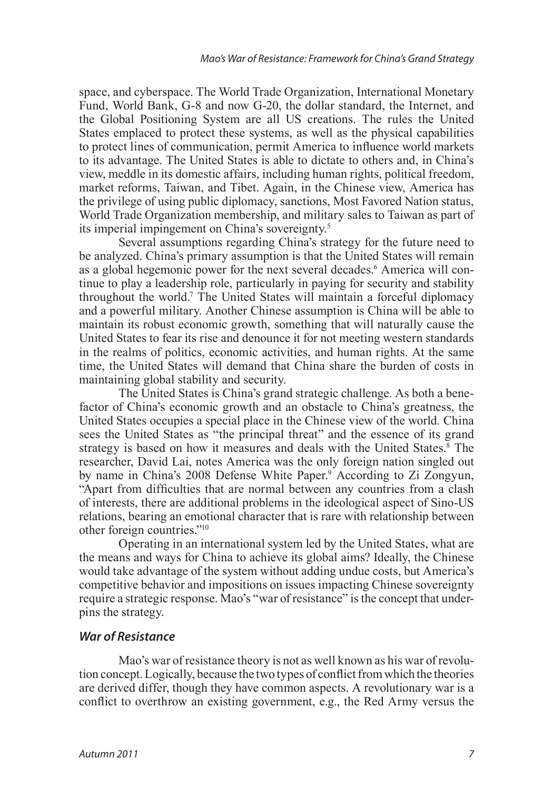space, and cyberspace. The World Trade Organization, International Monetary Fund, World Bank, G-8 and now G-20, the dollar standard, the Internet, and the Global Positioning System are all US creations. The rules the United States emplaced to protect these systems, as well as the physical capabilities to protect lines of communication, permit America to influence world markets to its advantage. The United States is able to dictate to others and, in China's view, meddle in its domestic affairs, including human rights, political freedom, market reforms, Taiwan, and Tibet. Again, in the Chinese view, America has the privilege of using public diplomacy, sanctions, Most Favored Nation status, World Trade Organization membership, and military sales to Taiwan as part of its imperial impingement on China's sovereignty[.5](#page-9-4)

<span id="page-1-2"></span><span id="page-1-1"></span><span id="page-1-0"></span>Several assumptions regarding China's strategy for the future need to be analyzed. China's primary assumption is that the United States will remain as a global hegemonic power for the next several decades.<sup>[6](#page-9-5)</sup> America will continue to play a leadership role, particularly in paying for security and stability throughout the world[.7](#page-9-6) The United States will maintain a forceful diplomacy and a powerful military. Another Chinese assumption is China will be able to maintain its robust economic growth, something that will naturally cause the United States to fear its rise and denounce it for not meeting western standards in the realms of politics, economic activities, and human rights. At the same time, the United States will demand that China share the burden of costs in maintaining global stability and security.

<span id="page-1-3"></span>The United States is China's grand strategic challenge. As both a benefactor of China's economic growth and an obstacle to China's greatness, the United States occupies a special place in the Chinese view of the world*.* China sees the United States as "the principal threat" and the essence of its grand strategy is based on how it measures and deals with the United States.<sup>[8](#page-9-7)</sup> The researcher, David Lai, notes America was the only foreign nation singled out by name in China's 2008 Defense White Paper.<sup>9</sup> According to Zi Zongyun, "Apart from difficulties that are normal between any countries from a clash of interests, there are additional problems in the ideological aspect of Sino-US relations, bearing an emotional character that is rare with relationship between other foreign countries.["10](#page-10-0)

<span id="page-1-5"></span><span id="page-1-4"></span>Operating in an international system led by the United States, what are the means and ways for China to achieve its global aims? Ideally, the Chinese would take advantage of the system without adding undue costs, but America's competitive behavior and impositions on issues impacting Chinese sovereignty require a strategic response. Mao's "war of resistance" is the concept that underpins the strategy.

# *War of Resistance*

Mao's war of resistance theory is not as well known as his war of revolution concept. Logically, because the two types of conflict from which the theories are derived differ, though they have common aspects. A revolutionary war is a conflict to overthrow an existing government, e.g., the Red Army versus the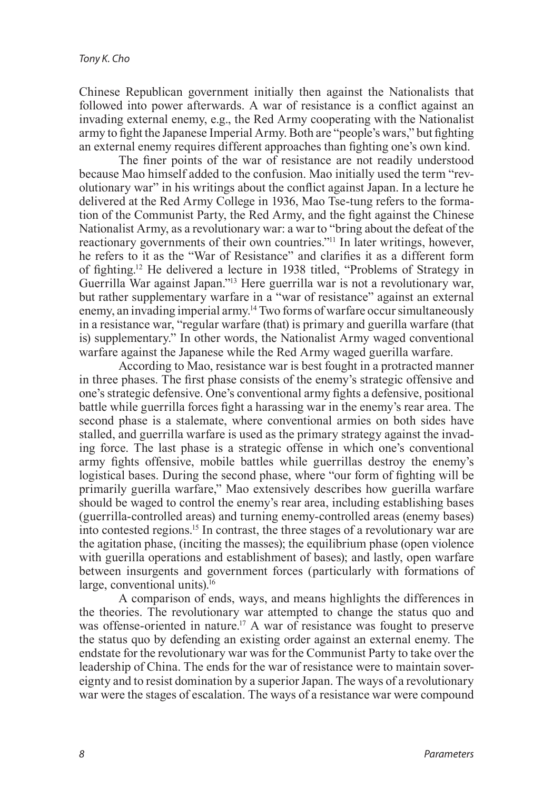Chinese Republican government initially then against the Nationalists that followed into power afterwards. A war of resistance is a conflict against an invading external enemy, e.g., the Red Army cooperating with the Nationalist army to fight the Japanese Imperial Army. Both are "people's wars," but fighting an external enemy requires different approaches than fighting one's own kind.

<span id="page-2-0"></span>The finer points of the war of resistance are not readily understood because Mao himself added to the confusion. Mao initially used the term "revolutionary war" in his writings about the conflict against Japan. In a lecture he delivered at the Red Army College in 1936, Mao Tse-tung refers to the formation of the Communist Party, the Red Army, and the fight against the Chinese Nationalist Army, as a revolutionary war: a war to "bring about the defeat of the reactionary governments of their own countries.["11](#page-10-1) In later writings, however, he refers to it as the "War of Resistance" and clarifies it as a different form of fighting.[12](#page-10-2) He delivered a lecture in 1938 titled, "Problems of Strategy in Guerrilla War against Japan."[13](#page-10-3) Here guerrilla war is not a revolutionary war, but rather supplementary warfare in a "war of resistance" against an external enemy, an invading imperial army[.14](#page-10-4) Two forms of warfare occur simultaneously in a resistance war, "regular warfare (that) is primary and guerilla warfare (that is) supplementary." In other words, the Nationalist Army waged conventional warfare against the Japanese while the Red Army waged guerilla warfare.

<span id="page-2-3"></span><span id="page-2-2"></span><span id="page-2-1"></span>According to Mao, resistance war is best fought in a protracted manner in three phases. The first phase consists of the enemy's strategic offensive and one's strategic defensive. One's conventional army fights a defensive, positional battle while guerrilla forces fight a harassing war in the enemy's rear area. The second phase is a stalemate, where conventional armies on both sides have stalled, and guerrilla warfare is used as the primary strategy against the invading force. The last phase is a strategic offense in which one's conventional army fights offensive, mobile battles while guerrillas destroy the enemy's logistical bases. During the second phase, where "our form of fighting will be primarily guerilla warfare," Mao extensively describes how guerilla warfare should be waged to control the enemy's rear area, including establishing bases (guerrilla-controlled areas) and turning enemy-controlled areas (enemy bases) into contested regions[.15](#page-10-5) In contrast, the three stages of a revolutionary war are the agitation phase, (inciting the masses); the equilibrium phase (open violence with guerilla operations and establishment of bases); and lastly, open warfare between insurgents and government forces (particularly with formations of large, conventional units).<sup>16</sup>

<span id="page-2-6"></span><span id="page-2-5"></span><span id="page-2-4"></span>A comparison of ends, ways, and means highlights the differences in the theories. The revolutionary war attempted to change the status quo and was offense-oriented in nature.<sup>17</sup> A war of resistance was fought to preserve the status quo by defending an existing order against an external enemy. The endstate for the revolutionary war was for the Communist Party to take over the leadership of China. The ends for the war of resistance were to maintain sovereignty and to resist domination by a superior Japan. The ways of a revolutionary war were the stages of escalation. The ways of a resistance war were compound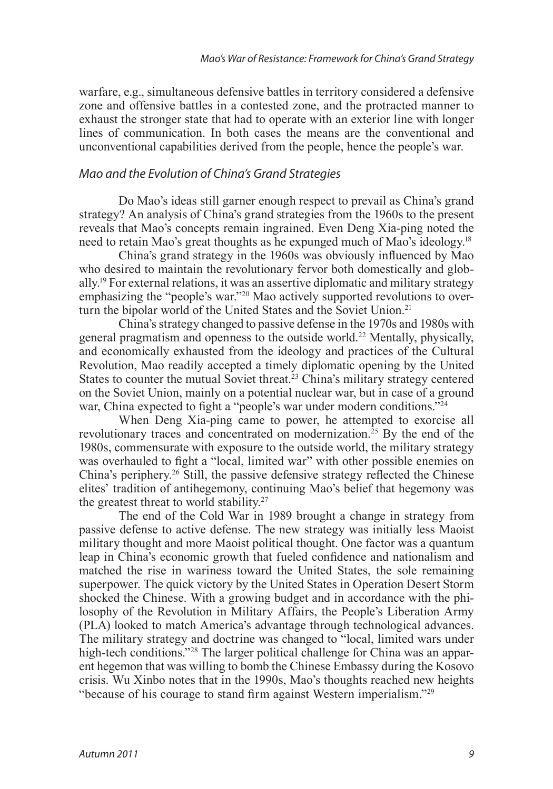warfare, e.g., simultaneous defensive battles in territory considered a defensive zone and offensive battles in a contested zone, and the protracted manner to exhaust the stronger state that had to operate with an exterior line with longer lines of communication. In both cases the means are the conventional and unconventional capabilities derived from the people, hence the people's war.

## *Mao and the Evolution of China's Grand Strategies*

Do Mao's ideas still garner enough respect to prevail as China's grand strategy? An analysis of China's grand strategies from the 1960s to the present reveals that Mao's concepts remain ingrained. Even Deng Xia-ping noted the need to retain Mao's great thoughts as he expunged much of Mao's ideology.<sup>18</sup>

<span id="page-3-1"></span><span id="page-3-0"></span>China's grand strategy in the 1960s was obviously influenced by Mao who desired to maintain the revolutionary fervor both domestically and globally[.19](#page-10-9) For external relations, it was an assertive diplomatic and military strategy emphasizing the "people's war."[20](#page-10-10) Mao actively supported revolutions to over-turn the bipolar world of the United States and the Soviet Union.<sup>[21](#page-10-11)</sup>

<span id="page-3-4"></span><span id="page-3-3"></span><span id="page-3-2"></span>China's strategy changed to passive defense in the 1970s and 1980s with general pragmatism and openness to the outside world.[22](#page-10-12) Mentally, physically, and economically exhausted from the ideology and practices of the Cultural Revolution, Mao readily accepted a timely diplomatic opening by the United States to counter the mutual Soviet threat.<sup>[23](#page-10-13)</sup> China's military strategy centered on the Soviet Union, mainly on a potential nuclear war, but in case of a ground war, China expected to fight a "people's war under modern conditions."<sup>[24](#page-10-14)</sup>

<span id="page-3-7"></span><span id="page-3-6"></span><span id="page-3-5"></span>When Deng Xia-ping came to power, he attempted to exorcise all revolutionary traces and concentrated on modernization.<sup>25</sup> By the end of the 1980s, commensurate with exposure to the outside world, the military strategy was overhauled to fight a "local, limited war" with other possible enemies on China's periphery.[26](#page-10-16) Still, the passive defensive strategy reflected the Chinese elites' tradition of antihegemony, continuing Mao's belief that hegemony was the greatest threat to world stability.<sup>[27](#page-10-17)</sup>

<span id="page-3-11"></span><span id="page-3-10"></span><span id="page-3-9"></span><span id="page-3-8"></span>The end of the Cold War in 1989 brought a change in strategy from passive defense to active defense. The new strategy was initially less Maoist military thought and more Maoist political thought. One factor was a quantum leap in China's economic growth that fueled confidence and nationalism and matched the rise in wariness toward the United States, the sole remaining superpower. The quick victory by the United States in Operation Desert Storm shocked the Chinese. With a growing budget and in accordance with the philosophy of the Revolution in Military Affairs, the People's Liberation Army (PLA) looked to match America's advantage through technological advances. The military strategy and doctrine was changed to "local, limited wars under high-tech conditions."<sup>[28](#page-10-18)</sup> The larger political challenge for China was an apparent hegemon that was willing to bomb the Chinese Embassy during the Kosovo crisis. Wu Xinbo notes that in the 1990s, Mao's thoughts reached new heights "because of his courage to stand firm against Western imperialism."[29](#page-10-19)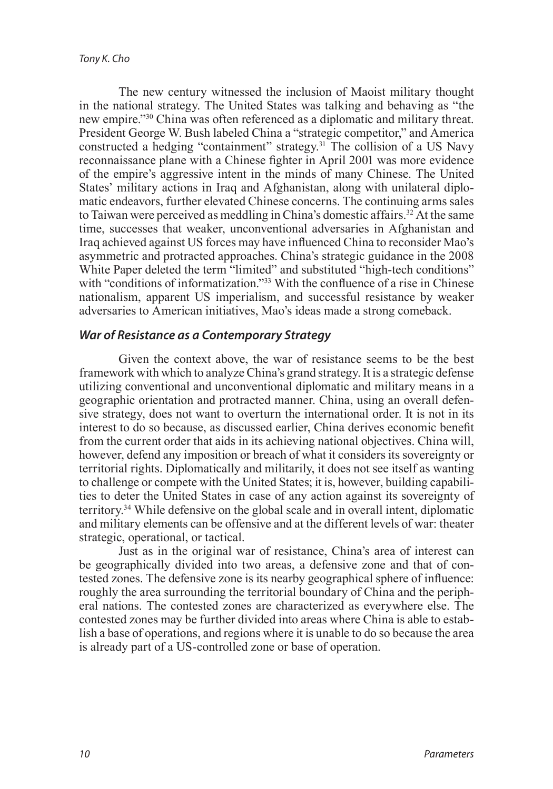<span id="page-4-2"></span><span id="page-4-1"></span><span id="page-4-0"></span>The new century witnessed the inclusion of Maoist military thought in the national strategy. The United States was talking and behaving as "the new empire."[30](#page-10-20) China was often referenced as a diplomatic and military threat. President George W. Bush labeled China a "strategic competitor," and America constructed a hedging "containment" strategy.<sup>[31](#page-10-21)</sup> The collision of a US Navy reconnaissance plane with a Chinese fighter in April 2001 was more evidence of the empire's aggressive intent in the minds of many Chinese. The United States' military actions in Iraq and Afghanistan, along with unilateral diplomatic endeavors, further elevated Chinese concerns. The continuing arms sales to Taiwan were perceived as meddling in China's domestic affairs.<sup>32</sup> At the same time, successes that weaker, unconventional adversaries in Afghanistan and Iraq achieved against US forces may have influenced China to reconsider Mao's asymmetric and protracted approaches. China's strategic guidance in the 2008 White Paper deleted the term "limited" and substituted "high-tech conditions" with "conditions of informatization."<sup>[33](#page-11-0)</sup> With the confluence of a rise in Chinese nationalism, apparent US imperialism, and successful resistance by weaker adversaries to American initiatives, Mao's ideas made a strong comeback.

## <span id="page-4-3"></span>*War of Resistance as a Contemporary Strategy*

Given the context above, the war of resistance seems to be the best framework with which to analyze China's grand strategy. It is a strategic defense utilizing conventional and unconventional diplomatic and military means in a geographic orientation and protracted manner. China, using an overall defensive strategy, does not want to overturn the international order. It is not in its interest to do so because, as discussed earlier, China derives economic benefit from the current order that aids in its achieving national objectives. China will, however, defend any imposition or breach of what it considers its sovereignty or territorial rights. Diplomatically and militarily, it does not see itself as wanting to challenge or compete with the United States; it is, however, building capabilities to deter the United States in case of any action against its sovereignty of territory.[34](#page-11-1) While defensive on the global scale and in overall intent, diplomatic and military elements can be offensive and at the different levels of war: theater strategic, operational, or tactical.

<span id="page-4-4"></span>Just as in the original war of resistance, China's area of interest can be geographically divided into two areas, a defensive zone and that of contested zones. The defensive zone is its nearby geographical sphere of influence: roughly the area surrounding the territorial boundary of China and the peripheral nations. The contested zones are characterized as everywhere else. The contested zones may be further divided into areas where China is able to establish a base of operations, and regions where it is unable to do so because the area is already part of a US-controlled zone or base of operation.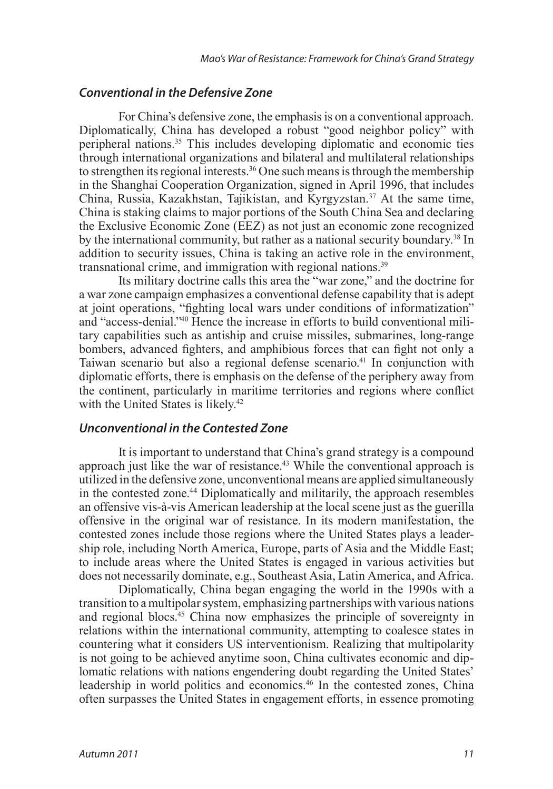#### *Conventional in the Defensive Zone*

<span id="page-5-2"></span><span id="page-5-1"></span><span id="page-5-0"></span>For China's defensive zone, the emphasis is on a conventional approach. Diplomatically, China has developed a robust "good neighbor policy" with peripheral nations.<sup>35</sup> This includes developing diplomatic and economic ties through international organizations and bilateral and multilateral relationships to strengthen its regional interests.<sup>36</sup> One such means is through the membership in the Shanghai Cooperation Organization, signed in April 1996, that includes China, Russia, Kazakhstan, Tajikistan, and Kyrgyzstan.<sup>37</sup> At the same time, China is staking claims to major portions of the South China Sea and declaring the Exclusive Economic Zone (EEZ) as not just an economic zone recognized by the international community, but rather as a national security boundary.<sup>38</sup> In addition to security issues, China is taking an active role in the environment, transnational crime, and immigration with regional nations.[39](#page-11-6)

<span id="page-5-5"></span><span id="page-5-4"></span><span id="page-5-3"></span>Its military doctrine calls this area the "war zone," and the doctrine for a war zone campaign emphasizes a conventional defense capability that is adept at joint operations, "fighting local wars under conditions of informatization" and "access-denial.["40](#page-11-7) Hence the increase in efforts to build conventional military capabilities such as antiship and cruise missiles, submarines, long-range bombers, advanced fighters, and amphibious forces that can fight not only a Taiwan scenario but also a regional defense scenario.<sup>41</sup> In conjunction with diplomatic efforts, there is emphasis on the defense of the periphery away from the continent, particularly in maritime territories and regions where conflict with the United States is likely.<sup>42</sup>

#### <span id="page-5-7"></span><span id="page-5-6"></span>*Unconventional in the Contested Zone*

<span id="page-5-9"></span><span id="page-5-8"></span>It is important to understand that China's grand strategy is a compound approach just like the war of resistance.<sup>43</sup> While the conventional approach is utilized in the defensive zone, unconventional means are applied simultaneously in the contested zone.<sup>44</sup> Diplomatically and militarily, the approach resembles an offensive vis-à-vis American leadership at the local scene just as the guerilla offensive in the original war of resistance. In its modern manifestation, the contested zones include those regions where the United States plays a leadership role, including North America, Europe, parts of Asia and the Middle East; to include areas where the United States is engaged in various activities but does not necessarily dominate, e.g., Southeast Asia, Latin America, and Africa.

<span id="page-5-11"></span><span id="page-5-10"></span>Diplomatically, China began engaging the world in the 1990s with a transition to a multipolar system, emphasizing partnerships with various nations and regional blocs.<sup>[45](#page-11-12)</sup> China now emphasizes the principle of sovereignty in relations within the international community, attempting to coalesce states in countering what it considers US interventionism. Realizing that multipolarity is not going to be achieved anytime soon, China cultivates economic and diplomatic relations with nations engendering doubt regarding the United States' leadership in world politics and economics.[46](#page-11-13) In the contested zones, China often surpasses the United States in engagement efforts, in essence promoting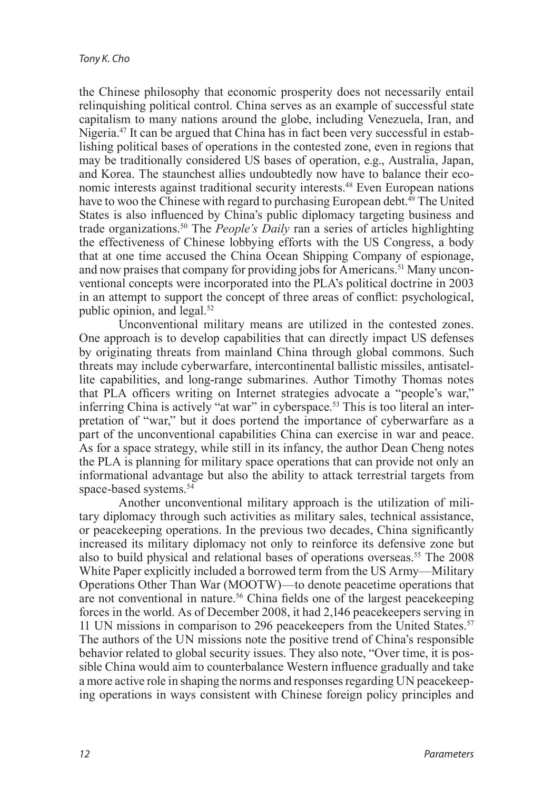<span id="page-6-2"></span><span id="page-6-1"></span><span id="page-6-0"></span>the Chinese philosophy that economic prosperity does not necessarily entail relinquishing political control. China serves as an example of successful state capitalism to many nations around the globe, including Venezuela, Iran, and Nigeria[.47](#page-11-14) It can be argued that China has in fact been very successful in establishing political bases of operations in the contested zone, even in regions that may be traditionally considered US bases of operation, e.g., Australia, Japan, and Korea. The staunchest allies undoubtedly now have to balance their economic interests against traditional security interests.[48](#page-11-15) Even European nations have to woo the Chinese with regard to purchasing European debt.<sup>[49](#page-11-16)</sup> The United States is also influenced by China's public diplomacy targeting business and trade organizations[.50](#page-11-17) The *People's Daily* ran a series of articles highlighting the effectiveness of Chinese lobbying efforts with the US Congress, a body that at one time accused the China Ocean Shipping Company of espionage, and now praises that company for providing jobs for Americans.<sup>51</sup> Many unconventional concepts were incorporated into the PLA's political doctrine in 2003 in an attempt to support the concept of three areas of conflict: psychological, public opinion, and legal. $52$ 

<span id="page-6-6"></span><span id="page-6-5"></span><span id="page-6-4"></span><span id="page-6-3"></span>Unconventional military means are utilized in the contested zones. One approach is to develop capabilities that can directly impact US defenses by originating threats from mainland China through global commons. Such threats may include cyberwarfare, intercontinental ballistic missiles, antisatellite capabilities, and long-range submarines. Author Timothy Thomas notes that PLA officers writing on Internet strategies advocate a "people's war," inferring China is actively "at war" in cyberspace.<sup>53</sup> This is too literal an interpretation of "war," but it does portend the importance of cyberwarfare as a part of the unconventional capabilities China can exercise in war and peace. As for a space strategy, while still in its infancy, the author Dean Cheng notes the PLA is planning for military space operations that can provide not only an informational advantage but also the ability to attack terrestrial targets from space-based systems.<sup>54</sup>

<span id="page-6-10"></span><span id="page-6-9"></span><span id="page-6-8"></span><span id="page-6-7"></span>Another unconventional military approach is the utilization of military diplomacy through such activities as military sales, technical assistance, or peacekeeping operations. In the previous two decades, China significantly increased its military diplomacy not only to reinforce its defensive zone but also to build physical and relational bases of operations overseas.<sup>55</sup> The 2008 White Paper explicitly included a borrowed term from the US Army—Military Operations Other Than War (MOOTW)—to denote peacetime operations that are not conventional in nature.[56](#page-12-2) China fields one of the largest peacekeeping forces in the world. As of December 2008, it had 2,146 peacekeepers serving in 11 UN missions in comparison to 296 peacekeepers from the United States.<sup>57</sup> The authors of the UN missions note the positive trend of China's responsible behavior related to global security issues. They also note, "Over time, it is possible China would aim to counterbalance Western influence gradually and take a more active role in shaping the norms and responses regarding UN peacekeeping operations in ways consistent with Chinese foreign policy principles and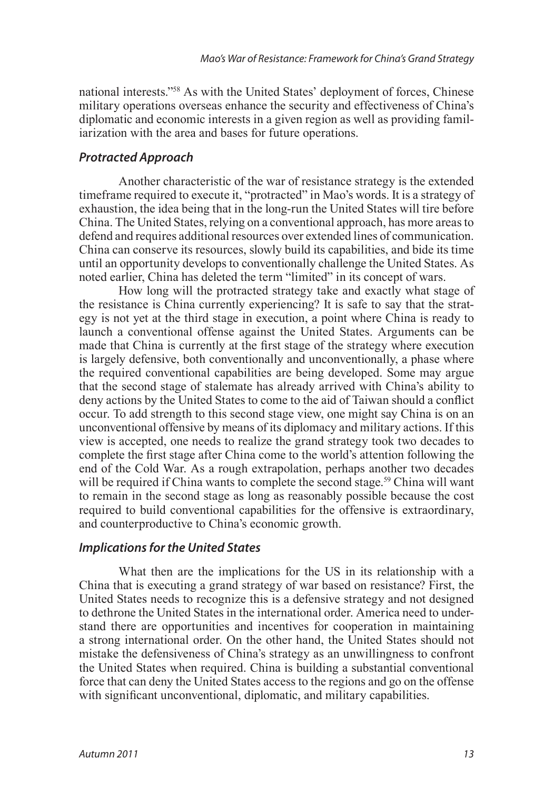<span id="page-7-0"></span>national interests."[58](#page-12-4) As with the United States' deployment of forces, Chinese military operations overseas enhance the security and effectiveness of China's diplomatic and economic interests in a given region as well as providing familiarization with the area and bases for future operations.

# *Protracted Approach*

Another characteristic of the war of resistance strategy is the extended timeframe required to execute it, "protracted" in Mao's words. It is a strategy of exhaustion, the idea being that in the long-run the United States will tire before China. The United States, relying on a conventional approach, has more areas to defend and requires additional resources over extended lines of communication. China can conserve its resources, slowly build its capabilities, and bide its time until an opportunity develops to conventionally challenge the United States. As noted earlier, China has deleted the term "limited" in its concept of wars.

How long will the protracted strategy take and exactly what stage of the resistance is China currently experiencing? It is safe to say that the strategy is not yet at the third stage in execution, a point where China is ready to launch a conventional offense against the United States. Arguments can be made that China is currently at the first stage of the strategy where execution is largely defensive, both conventionally and unconventionally, a phase where the required conventional capabilities are being developed. Some may argue that the second stage of stalemate has already arrived with China's ability to deny actions by the United States to come to the aid of Taiwan should a conflict occur. To add strength to this second stage view, one might say China is on an unconventional offensive by means of its diplomacy and military actions. If this view is accepted, one needs to realize the grand strategy took two decades to complete the first stage after China come to the world's attention following the end of the Cold War. As a rough extrapolation, perhaps another two decades will be required if China wants to complete the second stage.<sup>[59](#page-12-5)</sup> China will want to remain in the second stage as long as reasonably possible because the cost required to build conventional capabilities for the offensive is extraordinary, and counterproductive to China's economic growth.

# <span id="page-7-1"></span>*Implications for the United States*

What then are the implications for the US in its relationship with a China that is executing a grand strategy of war based on resistance? First, the United States needs to recognize this is a defensive strategy and not designed to dethrone the United States in the international order. America need to understand there are opportunities and incentives for cooperation in maintaining a strong international order. On the other hand, the United States should not mistake the defensiveness of China's strategy as an unwillingness to confront the United States when required. China is building a substantial conventional force that can deny the United States access to the regions and go on the offense with significant unconventional, diplomatic, and military capabilities.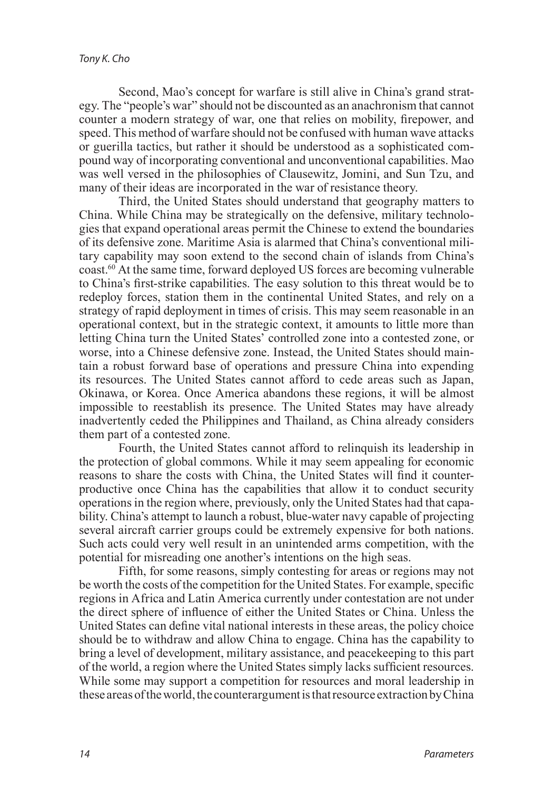Second, Mao's concept for warfare is still alive in China's grand strategy. The "people's war" should not be discounted as an anachronism that cannot counter a modern strategy of war, one that relies on mobility, firepower, and speed. This method of warfare should not be confused with human wave attacks or guerilla tactics, but rather it should be understood as a sophisticated compound way of incorporating conventional and unconventional capabilities. Mao was well versed in the philosophies of Clausewitz, Jomini, and Sun Tzu, and many of their ideas are incorporated in the war of resistance theory.

Third, the United States should understand that geography matters to China. While China may be strategically on the defensive, military technologies that expand operational areas permit the Chinese to extend the boundaries of its defensive zone. Maritime Asia is alarmed that China's conventional military capability may soon extend to the second chain of islands from China's coast[.60](#page-12-6) At the same time, forward deployed US forces are becoming vulnerable to China's first-strike capabilities. The easy solution to this threat would be to redeploy forces, station them in the continental United States, and rely on a strategy of rapid deployment in times of crisis. This may seem reasonable in an operational context, but in the strategic context, it amounts to little more than letting China turn the United States' controlled zone into a contested zone, or worse, into a Chinese defensive zone. Instead, the United States should maintain a robust forward base of operations and pressure China into expending its resources. The United States cannot afford to cede areas such as Japan, Okinawa, or Korea. Once America abandons these regions, it will be almost impossible to reestablish its presence. The United States may have already inadvertently ceded the Philippines and Thailand, as China already considers them part of a contested zone.

Fourth, the United States cannot afford to relinquish its leadership in the protection of global commons. While it may seem appealing for economic reasons to share the costs with China, the United States will find it counterproductive once China has the capabilities that allow it to conduct security operations in the region where, previously, only the United States had that capability. China's attempt to launch a robust, blue-water navy capable of projecting several aircraft carrier groups could be extremely expensive for both nations. Such acts could very well result in an unintended arms competition, with the potential for misreading one another's intentions on the high seas.

Fifth, for some reasons, simply contesting for areas or regions may not be worth the costs of the competition for the United States. For example, specific regions in Africa and Latin America currently under contestation are not under the direct sphere of influence of either the United States or China. Unless the United States can define vital national interests in these areas, the policy choice should be to withdraw and allow China to engage. China has the capability to bring a level of development, military assistance, and peacekeeping to this part of the world, a region where the United States simply lacks sufficient resources. While some may support a competition for resources and moral leadership in these areas of the world, the counterargument is that resource extraction by China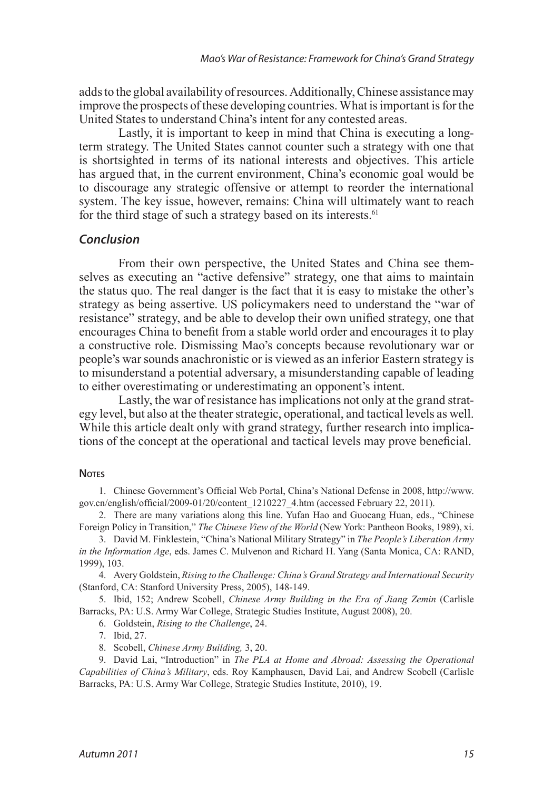adds to the global availability of resources. Additionally, Chinese assistance may improve the prospects of these developing countries. What is important is for the United States to understand China's intent for any contested areas.

Lastly, it is important to keep in mind that China is executing a longterm strategy. The United States cannot counter such a strategy with one that is shortsighted in terms of its national interests and objectives. This article has argued that, in the current environment, China's economic goal would be to discourage any strategic offensive or attempt to reorder the international system. The key issue, however, remains: China will ultimately want to reach for the third stage of such a strategy based on its interests.<sup>[61](#page-12-7)</sup>

#### <span id="page-9-9"></span>*Conclusion*

From their own perspective, the United States and China see themselves as executing an "active defensive" strategy, one that aims to maintain the status quo. The real danger is the fact that it is easy to mistake the other's strategy as being assertive. US policymakers need to understand the "war of resistance" strategy, and be able to develop their own unified strategy, one that encourages China to benefit from a stable world order and encourages it to play a constructive role. Dismissing Mao's concepts because revolutionary war or people's war sounds anachronistic or is viewed as an inferior Eastern strategy is to misunderstand a potential adversary, a misunderstanding capable of leading to either overestimating or underestimating an opponent's intent.

Lastly, the war of resistance has implications not only at the grand strategy level, but also at the theater strategic, operational, and tactical levels as well. While this article dealt only with grand strategy, further research into implications of the concept at the operational and tactical levels may prove beneficial.

#### **NOTES**

<span id="page-9-0"></span>1. [Chinese Government's Official Web Portal, China's National Defense in 2008, http://www.](#page-0-0) [gov.cn/english/official/2009-01/20/content\\_1210227\\_4.htm \(accessed February 22, 2011\).](#page-0-0)

<span id="page-9-1"></span>2. [There are many variations along this line. Yufan Hao and Guocang Huan, eds., "Chinese](#page-0-1) Foreign Policy in Transition," *The Chinese View of the World* [\(New York: Pantheon Books, 1989\), xi.](#page-0-1)

<span id="page-9-2"></span>3. [David M. Finklestein, "China's National Military Strategy" in](#page-0-2) *The People's Liberation Army in the Information Age*[, eds. James C. Mulvenon and Richard H. Yang \(Santa Monica, CA: RAND,](#page-0-2)  [1999\), 103.](#page-0-2)

<span id="page-9-3"></span>4. Avery Goldstein, *[Rising to the Challenge: China's Grand Strategy and International Security](#page-0-3)* [\(Stanford, CA: Stanford University Press, 2005\), 148-149.](#page-0-3)

5. Ibid, 152; Andrew Scobell, *[Chinese Army Building in the Era of Jiang Zemin](#page-1-0)* (Carlisle [Barracks, PA: U.S. Army War College, Strategic Studies Institute, August 2008\), 20.](#page-1-0)

<span id="page-9-5"></span><span id="page-9-4"></span>6. Goldstein, *[Rising to the Challenge](#page-1-1)*, 24.

<span id="page-9-6"></span>7. [Ibid, 27.](#page-1-2)

<span id="page-9-8"></span><span id="page-9-7"></span>8. Scobell, *[Chinese Army Building,](#page-1-3)* 3, 20.

9. David Lai, "Introduction" in *[The PLA at Home and Abroad: Assessing the Operational](#page-1-4) Capabilities of China's Military*[, eds. Roy Kamphausen, David Lai, and Andrew Scobell \(Carlisle](#page-1-4) [Barracks, PA: U.S. Army War College, Strategic Studies Institute, 2010\), 19.](#page-1-4)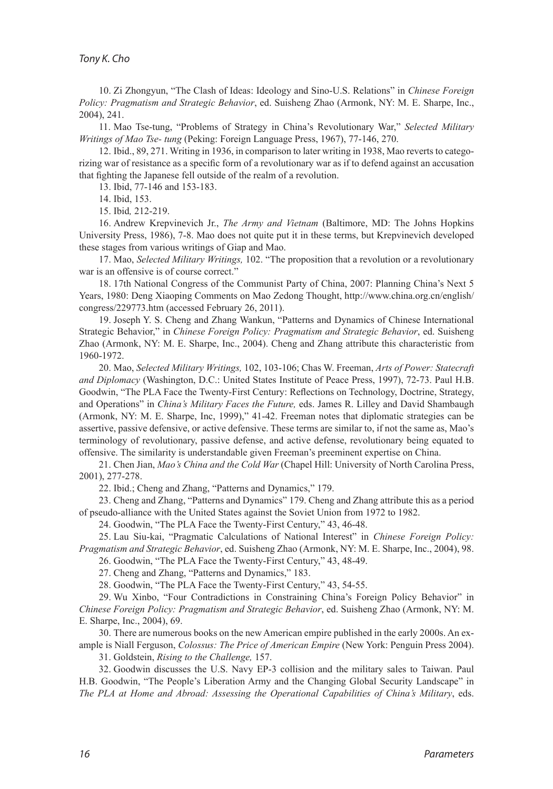<span id="page-10-0"></span>10. [Zi Zhongyun, "The Clash of Ideas: Ideology and Sino-U.S. Relations" in](#page-1-5) *Chinese Foreign Policy: Pragmatism and Strategic Behavior*[, ed. Suisheng Zhao \(Armonk, NY: M. E. Sharpe, Inc.,](#page-1-5)  [2004\), 241.](#page-1-5)

<span id="page-10-1"></span>11. [Mao Tse-tung, "Problems of Strategy in China's Revolutionary War,"](#page-2-0) *Selected Military Writings of Mao Tse- tung* [\(Peking: Foreign Language Press, 1967\), 77-146, 270.](#page-2-0)

12. [Ibid., 89, 271. Writing in 1936, in comparison to later writing in 1938, Mao reverts to catego](#page-2-1)[rizing war of resistance as a specific form of a revolutionary war as if to defend against an accusation](#page-2-1) [that fighting the Japanese fell outside of the realm of a revolution.](#page-2-1) 

<span id="page-10-3"></span><span id="page-10-2"></span>13. Ibid, [77-146 and 153-183.](#page-2-2)

<span id="page-10-4"></span>14. [Ibid, 153.](#page-2-3)

<span id="page-10-7"></span><span id="page-10-6"></span><span id="page-10-5"></span>15. Ibid*,* [212-219.](#page-2-4)

16. Andrew Krepvinevich Jr., *The Army and Vietnam* [\(Baltimore, MD: The Johns Hopkins](#page-2-5)  [University Press, 1986\), 7-8. Mao does not quite put it in these terms, but Krepvinevich developed](#page-2-5)  [these stages from various writings of Giap and Mao.](#page-2-5)

17. Mao, *Selected Military Writings,* [102. "The proposition that a revolution or a revolutionary](#page-2-6) [war is an offensive is of course correct."](#page-2-6) 

<span id="page-10-8"></span>18. [17th National Congress of the Communist Party of China, 2007: Planning China's Next 5](#page-3-0)  [Years, 1980: Deng Xiaoping Comments on Mao Zedong Thought, http://www.china.org.cn/english/](#page-3-0) [congress/229773.htm \(accessed February 26, 2011\).](#page-3-0)

<span id="page-10-9"></span>19. [Joseph Y. S. Cheng and Zhang Wankun, "Patterns and Dynamics of Chinese International](#page-3-1)  Strategic Behavior," in *[Chinese Foreign Policy: Pragmatism and Strategic Behavior](#page-3-1)*, ed. Suisheng [Zhao \(Armonk, NY: M. E. Sharpe, Inc., 2004\). Cheng and Zhang attribute this characteristic from](#page-3-1) [1960-1972.](#page-3-1)

<span id="page-10-10"></span>20. Mao, *Selected Military Writings,* [102, 103-106; Chas W. Freeman,](#page-3-2) *Arts of Power: Statecraft and Diplomacy* [\(Washington, D.C.: United States Institute of Peace Press, 1997\), 72-73. Paul H.B.](#page-3-2)  [Goodwin, "The PLA Face the Twenty-First Century: Reflections on Technology, Doctrine, Strategy,](#page-3-2) and Operations" in *China's Military Faces the Future,* [eds. James R. Lilley and David Shambaugh](#page-3-2)  [\(Armonk, NY: M. E. Sharpe, Inc, 1999\)," 41-42. Freeman notes that diplomatic strategies can be](#page-3-2)  [assertive, passive defensive, or active defensive. These terms are similar to, if not the same as, Mao's](#page-3-2)  [terminology of revolutionary, passive defense, and active defense, revolutionary being equated to](#page-3-2) [offensive. The similarity is understandable given Freeman's preeminent expertise on China.](#page-3-2) 

21. Chen Jian, *Mao's China and the Cold War* [\(Chapel Hill: University of North Carolina Press,](#page-3-3)  [2001\), 277-278.](#page-3-3)

<span id="page-10-13"></span><span id="page-10-12"></span><span id="page-10-11"></span>22. [Ibid.; Cheng and Zhang, "Patterns and Dynamics," 179.](#page-3-4) 

23. [Cheng and Zhang, "Patterns and Dynamics" 179. Cheng and Zhang attribute this as a period](#page-3-5) [of pseudo-alliance with the United States against the Soviet Union from 1972 to 1982.](#page-3-5) 

<span id="page-10-15"></span><span id="page-10-14"></span>24. [Goodwin, "The PLA Face the Twenty-First Century," 43, 46-48.](#page-3-6)

25. [Lau Siu-kai, "Pragmatic Calculations of National Interest" in](#page-3-7) *Chinese Foreign Policy: Pragmatism and Strategic Behavior*[, ed. Suisheng Zhao \(Armonk, NY: M. E. Sharpe, Inc., 2004\), 98.](#page-3-7)

<span id="page-10-16"></span>26. [Goodwin, "The PLA Face the Twenty-First Century," 43, 48-49.](#page-3-8)

<span id="page-10-17"></span>27. [Cheng and Zhang, "Patterns and Dynamics," 183.](#page-3-9)

<span id="page-10-19"></span><span id="page-10-18"></span>28. [Goodwin, "The PLA Face the Twenty-First Century," 43, 54-55.](#page-3-10)

29. [Wu Xinbo, "Four Contradictions in Constraining China's Foreign Policy Behavior" in](#page-3-11)  *[Chinese Foreign Policy: Pragmatism and Strategic Behavior](#page-3-11)*, ed. Suisheng Zhao (Armonk, NY: M. [E. Sharpe, Inc., 2004\), 69.](#page-3-11)

30. [There are numerous books on the new American empire published in the early 2000s. An ex](#page-4-0)ample is Niall Ferguson, *[Colossus: The Price of American Empire](#page-4-0)* (New York: Penguin Press 2004).

<span id="page-10-22"></span><span id="page-10-21"></span><span id="page-10-20"></span>31. Goldstein, *[Rising to the Challenge,](#page-4-1)* 157.

32. [Goodwin discusses the U.S. Navy EP-3 collision and the military sales to Taiwan. Paul](#page-4-2) [H.B. Goodwin, "The People's Liberation Army and the Changing Global Security Landscape" in](#page-4-2)  *[The PLA at Home and Abroad: Assessing the Operational Capabilities of China's Military](#page-4-2)*, eds.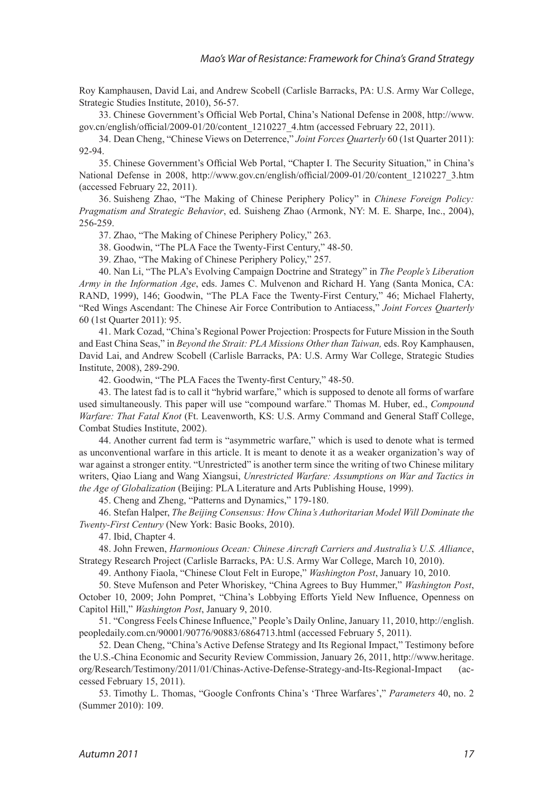[Roy Kamphausen, David Lai, and Andrew Scobell \(Carlisle Barracks, PA: U.S. Army War College,](#page-4-2)  [Strategic Studies Institute, 2010\), 56-57.](#page-4-2) 

<span id="page-11-0"></span>33. [Chinese Government's Official Web Portal, China's National Defense in 2008, http://www.](#page-4-3) [gov.cn/english/official/2009-01/20/content\\_1210227\\_4.htm \(accessed February 22, 2011\).](#page-4-3) 

<span id="page-11-1"></span>34. [Dean Cheng, "Chinese Views on Deterrence,"](#page-4-4) *Joint Forces Quarterly* 60 (1st Quarter 2011): [92-94.](#page-4-4)

<span id="page-11-2"></span>35. [Chinese Government's Official Web Portal, "Chapter I. The Security Situation," in China's](#page-5-0)  [National Defense in 2008, http://www.gov.cn/english/official/2009-01/20/content\\_1210227\\_3.htm](#page-5-0) [\(accessed February 22, 2011\).](#page-5-0)

36. [Suisheng Zhao, "The Making of Chinese Periphery Policy" in](#page-5-1) *Chinese Foreign Policy: Pragmatism and Strategic Behavior*[, ed. Suisheng Zhao \(Armonk, NY: M. E. Sharpe, Inc., 2004\),](#page-5-1) [256-259.](#page-5-1)

<span id="page-11-4"></span><span id="page-11-3"></span>37. [Zhao, "The Making of Chinese Periphery Policy," 263.](#page-5-2)

<span id="page-11-5"></span>38. [Goodwin, "The PLA Face the Twenty-First Century," 48-50.](#page-5-3)

<span id="page-11-7"></span><span id="page-11-6"></span>39. [Zhao, "The Making of Chinese Periphery Policy," 257.](#page-5-4)

40. [Nan Li, "The PLA's Evolving Campaign Doctrine and Strategy" in](#page-5-5) *The People's Liberation Army in the Information Age*[, eds. James C. Mulvenon and Richard H. Yang \(Santa Monica, CA:](#page-5-5)  [RAND, 1999\), 146; Goodwin, "The PLA Face the Twenty-First Century," 46; Michael Flaherty,](#page-5-5) ["Red Wings Ascendant: The Chinese Air Force Contribution to Antiacess,"](#page-5-5) *Joint Forces Quarterly*  [60 \(1st Quarter 2011\): 95.](#page-5-5)

<span id="page-11-8"></span>41. [Mark Cozad, "China's Regional Power Projection: Prospects for Future Mission in the South](#page-5-6)  and East China Seas," in *[Beyond the Strait: PLA Missions Other than Taiwan,](#page-5-6)* eds. Roy Kamphausen, [David Lai, and Andrew Scobell \(Carlisle Barracks, PA: U.S. Army War College, Strategic Studies](#page-5-6) [Institute, 2008\), 289-290.](#page-5-6)

<span id="page-11-10"></span><span id="page-11-9"></span>42. [Goodwin, "The PLA Faces the Twenty-first Century," 48-50.](#page-5-7)

43. [The latest fad is to call it "hybrid warfare," which is supposed to denote all forms of warfare](#page-5-8)  [used simultaneously. This paper will use "compound warfare." Thomas M. Huber, ed.,](#page-5-8) *Compound Warfare: That Fatal Knot* [\(Ft. Leavenworth, KS: U.S. Army Command and General Staff College,](#page-5-8)  [Combat Studies Institute, 2002\).](#page-5-8)

<span id="page-11-11"></span>44. [Another current fad term is "asymmetric warfare," which is used to denote what is termed](#page-5-9)  [as unconventional warfare in this article. It is meant to denote it as a weaker organization's way of](#page-5-9) [war against a stronger entity. "Unrestricted" is another term since the writing of two Chinese military](#page-5-9) writers, Qiao Liang and Wang Xiangsui, *[Unrestricted Warfare: Assumptions on War and Tactics in](#page-5-9)  the Age of Globalization* [\(Beijing: PLA Literature and Arts Publishing House, 1999\).](#page-5-9)

<span id="page-11-13"></span><span id="page-11-12"></span>45. [Cheng and Zheng, "Patterns and Dynamics," 179-180.](#page-5-10)

46. Stefan Halper, *[The Beijing Consensus: How China's Authoritarian Model Will Dominate the](#page-5-11) Twenty-First Century* [\(New York: Basic Books, 2010\).](#page-5-11)

<span id="page-11-15"></span><span id="page-11-14"></span>47. [Ibid, Chapter 4.](#page-6-0)

48. John Frewen, *[Harmonious Ocean: Chinese Aircraft Carriers and Australia's U.S. Alliance](#page-6-1)*, [Strategy Research Project \(Carlisle Barracks, PA: U.S. Army War College, March 10, 2010\).](#page-6-1)

<span id="page-11-18"></span><span id="page-11-17"></span><span id="page-11-16"></span>49. [Anthony Fiaola, "Chinese Clout Felt in Europe,"](#page-6-2) *Washington Post*, January 10, 2010.

50. [Steve Mufenson and Peter Whoriskey, "China Agrees to Buy Hummer,"](#page-6-3) *Washington Post*, [October 10, 2009; John Pompret, "China's Lobbying Efforts Yield New Influence, Openness on](#page-6-3)  Capitol Hill," *Washington Post*[, January 9, 2010.](#page-6-3) 

51. ["Congress Feels Chinese Influence," People's Daily Online, January 11, 2010, http://english.](#page-6-4) [peopledaily.com.cn/90001/90776/90883/6864713.html \(accessed February 5, 2011\).](#page-6-4)

<span id="page-11-19"></span>52. [Dean Cheng, "China's Active Defense Strategy and Its Regional Impact," Testimony before](#page-6-5) [the U.S.-China Economic and Security Review Commission, January 26, 2011, http://www.heritage.](#page-6-5) [org/Research/Testimony/2011/01/Chinas-Active-Defense-Strategy-and-Its-Regional-Impact \(ac](#page-6-5)[cessed February 15, 2011\).](#page-6-5)

<span id="page-11-20"></span>53. [Timothy L. Thomas, "Google Confronts China's 'Three Warfares',"](#page-6-6) *Parameters* 40, no. 2 [\(Summer 2010\): 109.](#page-6-6)